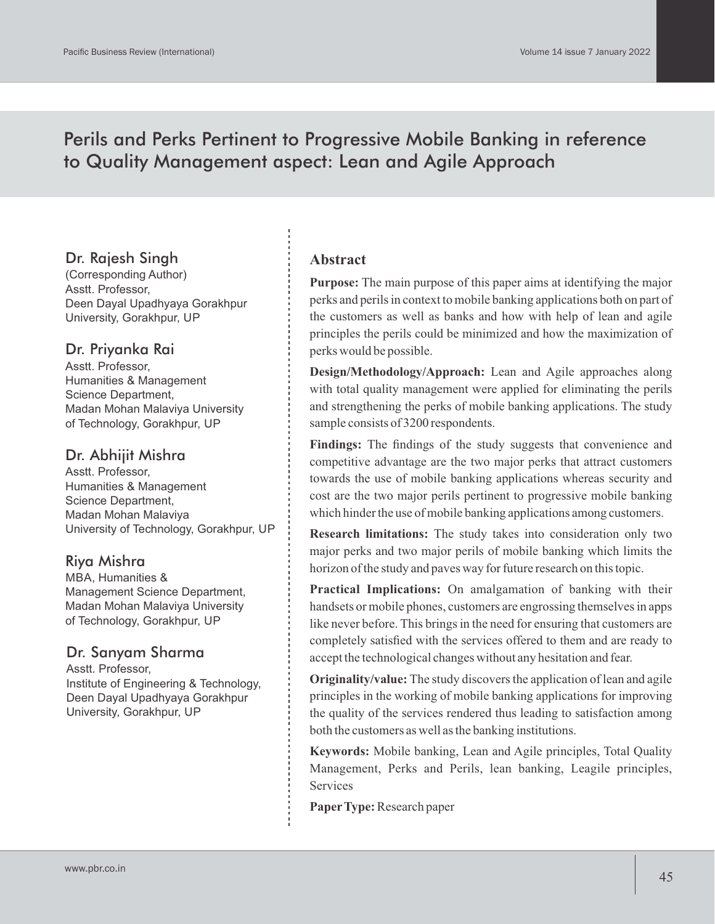# Perils and Perks Pertinent to Progressive Mobile Banking in reference to Quality Management aspect: Lean and Agile Approach

# Dr. Rajesh Singh

(Corresponding Author) Asstt. Professor, Deen Dayal Upadhyaya Gorakhpur University, Gorakhpur, UP

# Dr. Priyanka Rai

Asstt. Professor, Humanities & Management Science Department, Madan Mohan Malaviya University of Technology, Gorakhpur, UP

# Dr. Abhijit Mishra

Asstt. Professor, Humanities & Management Science Department, Madan Mohan Malaviya University of Technology, Gorakhpur, UP

# Riya Mishra

MBA, Humanities & Management Science Department, Madan Mohan Malaviya University of Technology, Gorakhpur, UP

# Dr. Sanyam Sharma

Asstt. Professor, Institute of Engineering & Technology, Deen Dayal Upadhyaya Gorakhpur University, Gorakhpur, UP

# **Abstract**

**Purpose:** The main purpose of this paper aims at identifying the major perks and perils in context to mobile banking applications both on part of the customers as well as banks and how with help of lean and agile principles the perils could be minimized and how the maximization of perks would be possible.

**Design/Methodology/Approach:** Lean and Agile approaches along with total quality management were applied for eliminating the perils and strengthening the perks of mobile banking applications. The study sample consists of 3200 respondents.

**Findings:** The findings of the study suggests that convenience and competitive advantage are the two major perks that attract customers towards the use of mobile banking applications whereas security and cost are the two major perils pertinent to progressive mobile banking which hinder the use of mobile banking applications among customers.

**Research limitations:** The study takes into consideration only two major perks and two major perils of mobile banking which limits the horizon of the study and paves way for future research on this topic.

**Practical Implications:** On amalgamation of banking with their handsets or mobile phones, customers are engrossing themselves in apps like never before. This brings in the need for ensuring that customers are completely satisfied with the services offered to them and are ready to accept the technological changes without any hesitation and fear.

**Originality/value:** The study discovers the application of lean and agile principles in the working of mobile banking applications for improving the quality of the services rendered thus leading to satisfaction among both the customers as well as the banking institutions.

**Keywords:** Mobile banking, Lean and Agile principles, Total Quality Management, Perks and Perils, lean banking, Leagile principles, **Services** 

**PaperType:**Research paper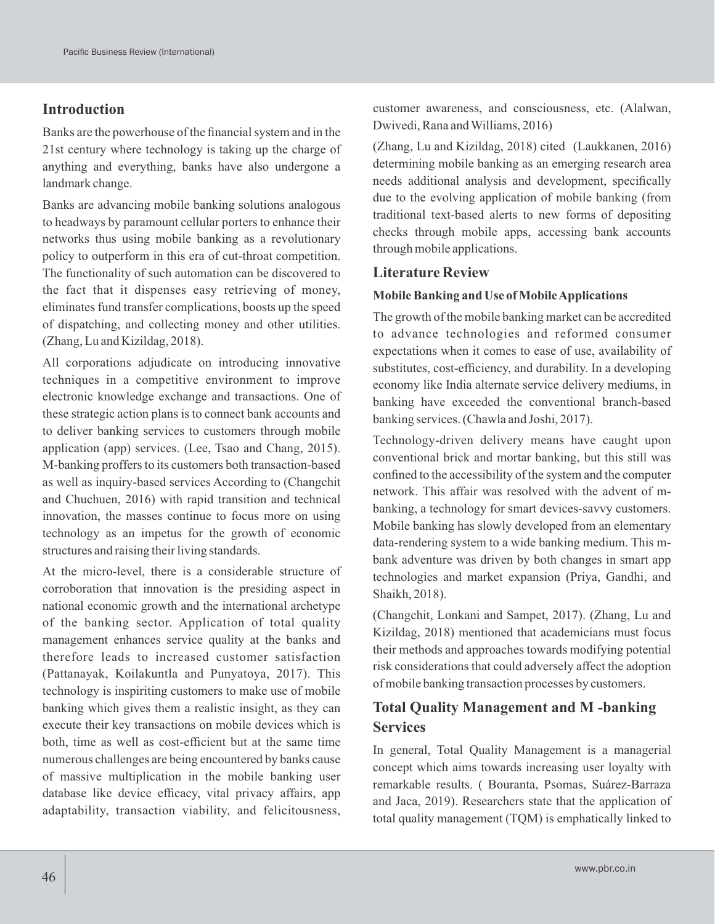# **Introduction**

Banks are the powerhouse of the financial system and in the 21st century where technology is taking up the charge of anything and everything, banks have also undergone a landmark change.

Banks are advancing mobile banking solutions analogous to headways by paramount cellular porters to enhance their networks thus using mobile banking as a revolutionary policy to outperform in this era of cut-throat competition. The functionality of such automation can be discovered to the fact that it dispenses easy retrieving of money, eliminates fund transfer complications, boosts up the speed of dispatching, and collecting money and other utilities. (Zhang, Lu and Kizildag, 2018).

All corporations adjudicate on introducing innovative techniques in a competitive environment to improve electronic knowledge exchange and transactions. One of these strategic action plans is to connect bank accounts and to deliver banking services to customers through mobile application (app) services. (Lee, Tsao and Chang, 2015). M-banking proffers to its customers both transaction-based as well as inquiry-based services According to (Changchit and Chuchuen, 2016) with rapid transition and technical innovation, the masses continue to focus more on using technology as an impetus for the growth of economic structures and raising their living standards.

At the micro-level, there is a considerable structure of corroboration that innovation is the presiding aspect in national economic growth and the international archetype of the banking sector. Application of total quality management enhances service quality at the banks and therefore leads to increased customer satisfaction (Pattanayak, Koilakuntla and Punyatoya, 2017). This technology is inspiriting customers to make use of mobile banking which gives them a realistic insight, as they can execute their key transactions on mobile devices which is both, time as well as cost-efficient but at the same time numerous challenges are being encountered by banks cause of massive multiplication in the mobile banking user database like device efficacy, vital privacy affairs, app adaptability, transaction viability, and felicitousness,

customer awareness, and consciousness, etc. (Alalwan, Dwivedi, Rana and Williams, 2016)

(Zhang, Lu and Kizildag, 2018) cited (Laukkanen, 2016) determining mobile banking as an emerging research area needs additional analysis and development, specifically due to the evolving application of mobile banking (from traditional text-based alerts to new forms of depositing checks through mobile apps, accessing bank accounts through mobile applications.

#### **Literature Review**

#### **Mobile Banking and Use of Mobile Applications**

The growth of the mobile banking market can be accredited to advance technologies and reformed consumer expectations when it comes to ease of use, availability of substitutes, cost-efficiency, and durability. In a developing economy like India alternate service delivery mediums, in banking have exceeded the conventional branch-based banking services. (Chawla and Joshi, 2017).

Technology-driven delivery means have caught upon conventional brick and mortar banking, but this still was confined to the accessibility of the system and the computer network. This affair was resolved with the advent of mbanking, a technology for smart devices-savvy customers. Mobile banking has slowly developed from an elementary data-rendering system to a wide banking medium. This mbank adventure was driven by both changes in smart app technologies and market expansion (Priya, Gandhi, and Shaikh, 2018).

(Changchit, Lonkani and Sampet, 2017). (Zhang, Lu and Kizildag, 2018) mentioned that academicians must focus their methods and approaches towards modifying potential risk considerations that could adversely affect the adoption of mobile banking transaction processes by customers.

# **Total Quality Management and M -banking Services**

In general, Total Quality Management is a managerial concept which aims towards increasing user loyalty with remarkable results. ( Bouranta, Psomas, Suárez-Barraza and Jaca, 2019). Researchers state that the application of total quality management (TQM) is emphatically linked to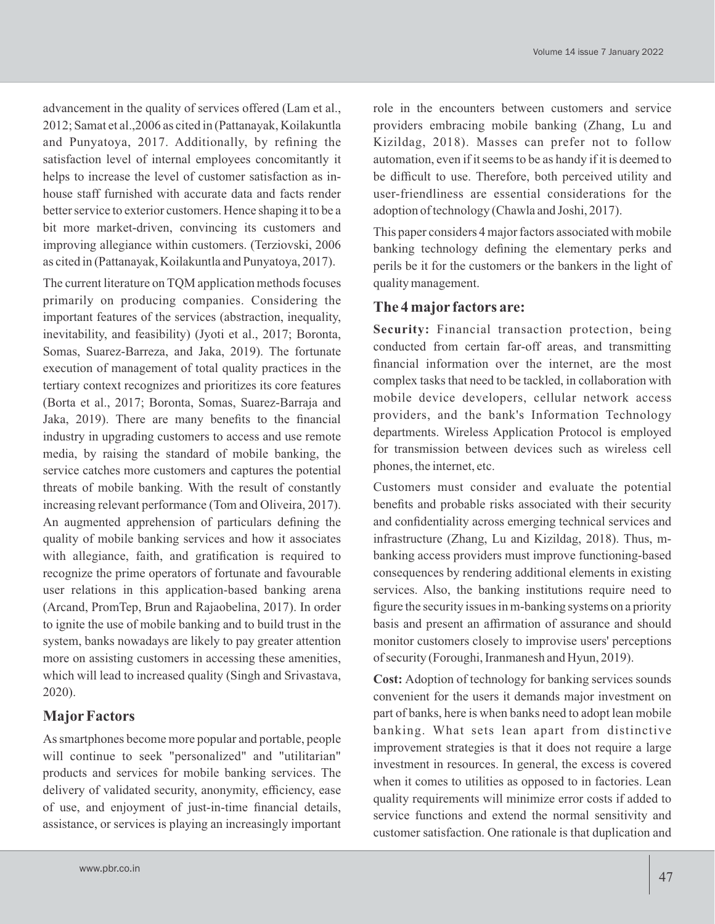advancement in the quality of services offered (Lam et al., 2012; Samat et al.,2006 as cited in (Pattanayak, Koilakuntla and Punyatoya, 2017. Additionally, by refining the satisfaction level of internal employees concomitantly it helps to increase the level of customer satisfaction as inhouse staff furnished with accurate data and facts render better service to exterior customers. Hence shaping it to be a bit more market-driven, convincing its customers and improving allegiance within customers. (Terziovski, 2006 as cited in (Pattanayak, Koilakuntla and Punyatoya, 2017).

The current literature on TQM application methods focuses primarily on producing companies. Considering the important features of the services (abstraction, inequality, inevitability, and feasibility) (Jyoti et al., 2017; Boronta, Somas, Suarez-Barreza, and Jaka, 2019). The fortunate execution of management of total quality practices in the tertiary context recognizes and prioritizes its core features (Borta et al., 2017; Boronta, Somas, Suarez-Barraja and Jaka, 2019). There are many benefits to the financial industry in upgrading customers to access and use remote media, by raising the standard of mobile banking, the service catches more customers and captures the potential threats of mobile banking. With the result of constantly increasing relevant performance (Tom and Oliveira, 2017). An augmented apprehension of particulars defining the quality of mobile banking services and how it associates with allegiance, faith, and gratification is required to recognize the prime operators of fortunate and favourable user relations in this application-based banking arena (Arcand, PromTep, Brun and Rajaobelina, 2017). In order to ignite the use of mobile banking and to build trust in the system, banks nowadays are likely to pay greater attention more on assisting customers in accessing these amenities, which will lead to increased quality (Singh and Srivastava, 2020).

# **MajorFactors**

As smartphones become more popular and portable, people will continue to seek "personalized" and "utilitarian" products and services for mobile banking services. The delivery of validated security, anonymity, efficiency, ease of use, and enjoyment of just-in-time financial details, assistance, or services is playing an increasingly important role in the encounters between customers and service providers embracing mobile banking (Zhang, Lu and Kizildag, 2018). Masses can prefer not to follow automation, even if it seems to be as handy if it is deemed to be difficult to use. Therefore, both perceived utility and user-friendliness are essential considerations for the adoption of technology (Chawla and Joshi, 2017).

This paper considers 4 major factors associated with mobile banking technology defining the elementary perks and perils be it for the customers or the bankers in the light of quality management.

# **The 4 major factors are:**

**Security:** Financial transaction protection, being conducted from certain far-off areas, and transmitting financial information over the internet, are the most complex tasks that need to be tackled, in collaboration with mobile device developers, cellular network access providers, and the bank's Information Technology departments. Wireless Application Protocol is employed for transmission between devices such as wireless cell phones, the internet, etc.

Customers must consider and evaluate the potential benefits and probable risks associated with their security and confidentiality across emerging technical services and infrastructure (Zhang, Lu and Kizildag, 2018). Thus, mbanking access providers must improve functioning-based consequences by rendering additional elements in existing services. Also, the banking institutions require need to figure the security issues in m-banking systems on a priority basis and present an affirmation of assurance and should monitor customers closely to improvise users' perceptions of security (Foroughi, Iranmanesh and Hyun, 2019).

**Cost:** Adoption of technology for banking services sounds convenient for the users it demands major investment on part of banks, here is when banks need to adopt lean mobile banking. What sets lean apart from distinctive improvement strategies is that it does not require a large investment in resources. In general, the excess is covered when it comes to utilities as opposed to in factories. Lean quality requirements will minimize error costs if added to service functions and extend the normal sensitivity and customer satisfaction. One rationale is that duplication and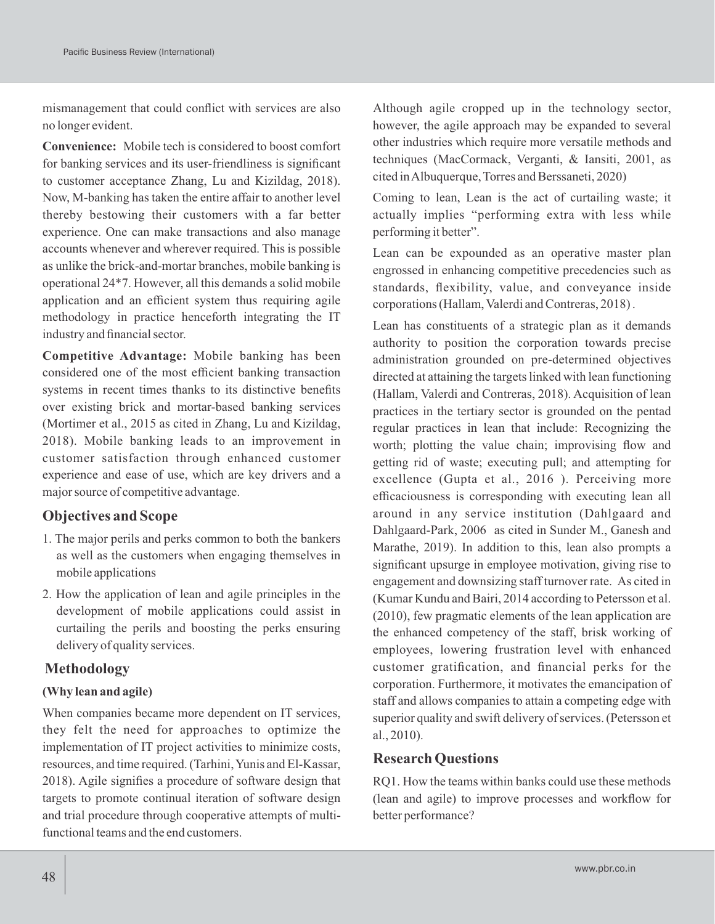mismanagement that could conflict with services are also no longer evident.

**Convenience:** Mobile tech is considered to boost comfort for banking services and its user-friendliness is significant to customer acceptance Zhang, Lu and Kizildag, 2018). Now, M-banking has taken the entire affair to another level thereby bestowing their customers with a far better experience. One can make transactions and also manage accounts whenever and wherever required. This is possible as unlike the brick-and-mortar branches, mobile banking is operational 24\*7. However, all this demands a solid mobile application and an efficient system thus requiring agile methodology in practice henceforth integrating the IT industry and financial sector.

**Competitive Advantage:** Mobile banking has been considered one of the most efficient banking transaction systems in recent times thanks to its distinctive benefits over existing brick and mortar-based banking services (Mortimer et al., 2015 as cited in Zhang, Lu and Kizildag, 2018). Mobile banking leads to an improvement in customer satisfaction through enhanced customer experience and ease of use, which are key drivers and a major source of competitive advantage.

# **Objectives and Scope**

- 1. The major perils and perks common to both the bankers as well as the customers when engaging themselves in mobile applications
- 2. How the application of lean and agile principles in the development of mobile applications could assist in curtailing the perils and boosting the perks ensuring delivery of quality services.

# **Methodology**

# **(Why lean and agile)**

When companies became more dependent on IT services, they felt the need for approaches to optimize the implementation of IT project activities to minimize costs, resources, and time required. (Tarhini, Yunis and El-Kassar, 2018). Agile signifies a procedure of software design that targets to promote continual iteration of software design and trial procedure through cooperative attempts of multifunctional teams and the end customers.

Although agile cropped up in the technology sector, however, the agile approach may be expanded to several other industries which require more versatile methods and techniques (MacCormack, Verganti, & Iansiti, 2001, as cited in Albuquerque, Torres and Berssaneti, 2020)

Coming to lean, Lean is the act of curtailing waste; it actually implies "performing extra with less while performing it better".

Lean can be expounded as an operative master plan engrossed in enhancing competitive precedencies such as standards, flexibility, value, and conveyance inside corporations (Hallam, Valerdi and Contreras, 2018) .

Lean has constituents of a strategic plan as it demands authority to position the corporation towards precise administration grounded on pre-determined objectives directed at attaining the targets linked with lean functioning (Hallam, Valerdi and Contreras, 2018). Acquisition of lean practices in the tertiary sector is grounded on the pentad regular practices in lean that include: Recognizing the worth; plotting the value chain; improvising flow and getting rid of waste; executing pull; and attempting for excellence (Gupta et al., 2016 ). Perceiving more efficaciousness is corresponding with executing lean all around in any service institution (Dahlgaard and Dahlgaard-Park, 2006 as cited in Sunder M., Ganesh and Marathe, 2019). In addition to this, lean also prompts a significant upsurge in employee motivation, giving rise to engagement and downsizing staff turnover rate. As cited in (Kumar Kundu and Bairi, 2014 according to Petersson et al. (2010), few pragmatic elements of the lean application are the enhanced competency of the staff, brisk working of employees, lowering frustration level with enhanced customer gratification, and financial perks for the corporation. Furthermore, it motivates the emancipation of staff and allows companies to attain a competing edge with superior quality and swift delivery of services. (Petersson et al., 2010).

# **Research Questions**

RQ1. How the teams within banks could use these methods (lean and agile) to improve processes and workflow for better performance?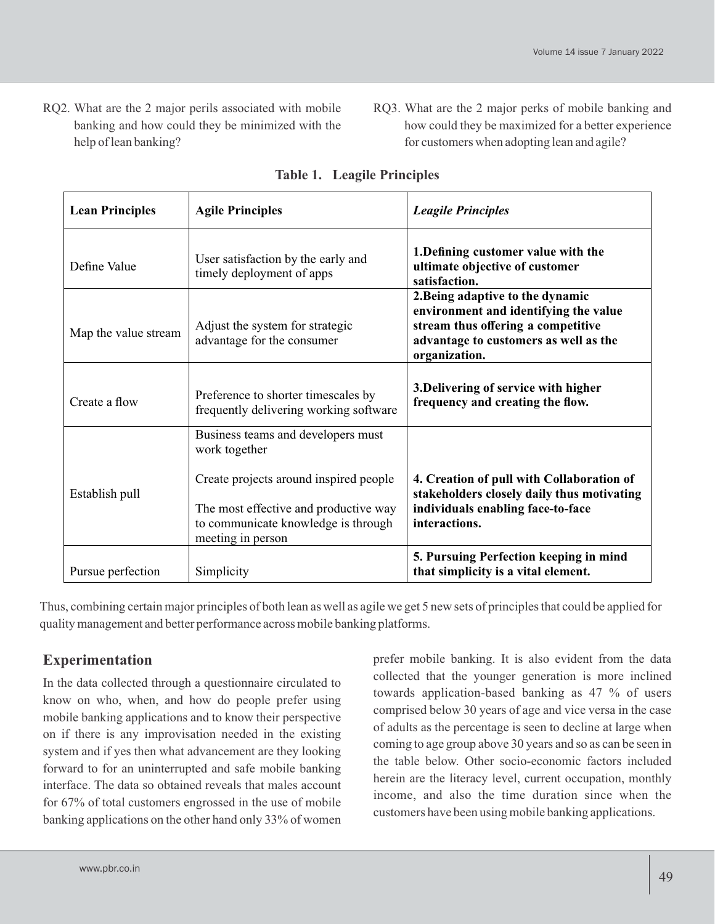- RQ2. What are the 2 major perils associated with mobile banking and how could they be minimized with the help of lean banking?
- RQ3. What are the 2 major perks of mobile banking and how could they be maximized for a better experience for customers when adopting lean and agile?

| <b>Lean Principles</b> | <b>Agile Principles</b>                                                                                                                                                                            | <b>Leagile Principles</b>                                                                                                                                                 |
|------------------------|----------------------------------------------------------------------------------------------------------------------------------------------------------------------------------------------------|---------------------------------------------------------------------------------------------------------------------------------------------------------------------------|
| Define Value           | User satisfaction by the early and<br>timely deployment of apps                                                                                                                                    | 1. Defining customer value with the<br>ultimate objective of customer<br>satisfaction.                                                                                    |
| Map the value stream   | Adjust the system for strategic<br>advantage for the consumer                                                                                                                                      | 2. Being adaptive to the dynamic<br>environment and identifying the value<br>stream thus offering a competitive<br>advantage to customers as well as the<br>organization. |
| Create a flow          | Preference to shorter timescales by<br>frequently delivering working software                                                                                                                      | 3. Delivering of service with higher<br>frequency and creating the flow.                                                                                                  |
| Establish pull         | Business teams and developers must<br>work together<br>Create projects around inspired people<br>The most effective and productive way<br>to communicate knowledge is through<br>meeting in person | 4. Creation of pull with Collaboration of<br>stakeholders closely daily thus motivating<br>individuals enabling face-to-face<br>interactions.                             |
| Pursue perfection      | Simplicity                                                                                                                                                                                         | 5. Pursuing Perfection keeping in mind<br>that simplicity is a vital element.                                                                                             |

|  |  | <b>Table 1. Leagile Principles</b> |
|--|--|------------------------------------|
|--|--|------------------------------------|

Thus, combining certain major principles of both lean as well as agile we get 5 new sets of principles that could be applied for quality management and better performance across mobile banking platforms.

# **Experimentation**

In the data collected through a questionnaire circulated to know on who, when, and how do people prefer using mobile banking applications and to know their perspective on if there is any improvisation needed in the existing system and if yes then what advancement are they looking forward to for an uninterrupted and safe mobile banking interface. The data so obtained reveals that males account for 67% of total customers engrossed in the use of mobile banking applications on the other hand only 33% of women

prefer mobile banking. It is also evident from the data collected that the younger generation is more inclined towards application-based banking as 47 % of users comprised below 30 years of age and vice versa in the case of adults as the percentage is seen to decline at large when coming to age group above 30 years and so as can be seen in the table below. Other socio-economic factors included herein are the literacy level, current occupation, monthly income, and also the time duration since when the customers have been using mobile banking applications.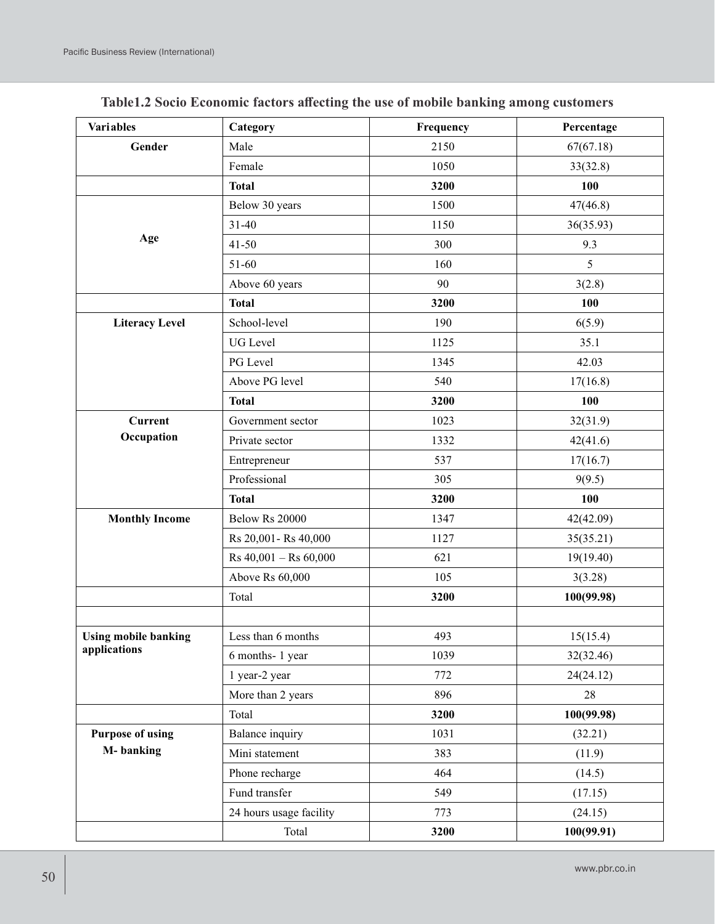| <b>Variables</b>            | Category                | Frequency | Percentage |  |
|-----------------------------|-------------------------|-----------|------------|--|
| Gender                      | Male                    | 2150      | 67(67.18)  |  |
|                             | Female                  | 1050      | 33(32.8)   |  |
|                             | <b>Total</b>            | 3200      | 100        |  |
|                             | Below 30 years          | 1500      | 47(46.8)   |  |
|                             | $31 - 40$               | 1150      | 36(35.93)  |  |
| Age                         | $41 - 50$               | 300       | 9.3        |  |
|                             | 51-60                   | 160       | 5          |  |
|                             | Above 60 years          | 90        | 3(2.8)     |  |
|                             | <b>Total</b>            | 3200      | 100        |  |
| <b>Literacy Level</b>       | School-level            | 190       | 6(5.9)     |  |
|                             | <b>UG</b> Level         | 1125      | 35.1       |  |
|                             | PG Level                | 1345      | 42.03      |  |
|                             | Above PG level          | 540       | 17(16.8)   |  |
|                             | <b>Total</b>            | 3200      | 100        |  |
| <b>Current</b>              | Government sector       | 1023      | 32(31.9)   |  |
| Occupation                  | Private sector          | 1332      | 42(41.6)   |  |
|                             | Entrepreneur            | 537       | 17(16.7)   |  |
|                             | Professional            | 305       | 9(9.5)     |  |
|                             | <b>Total</b>            | 3200      | 100        |  |
| <b>Monthly Income</b>       | <b>Below Rs 20000</b>   | 1347      | 42(42.09)  |  |
|                             | Rs 20,001 - Rs 40,000   | 1127      | 35(35.21)  |  |
|                             | $Rs 40,001 - Rs 60,000$ | 621       | 19(19.40)  |  |
|                             | Above Rs 60,000         | 105       | 3(3.28)    |  |
|                             | Total                   | 3200      | 100(99.98) |  |
|                             |                         |           |            |  |
| <b>Using mobile banking</b> | Less than 6 months      | 493       | 15(15.4)   |  |
| applications                | 6 months-1 year         | 1039      | 32(32.46)  |  |
|                             | 1 year-2 year           | 772       | 24(24.12)  |  |
|                             | More than 2 years       | 896       | 28         |  |
|                             | Total                   | 3200      | 100(99.98) |  |
| <b>Purpose of using</b>     | <b>Balance</b> inquiry  | 1031      | (32.21)    |  |
| M-banking                   | Mini statement          | 383       | (11.9)     |  |
|                             | Phone recharge          | 464       | (14.5)     |  |
|                             | Fund transfer           | 549       | (17.15)    |  |
|                             | 24 hours usage facility | 773       | (24.15)    |  |
|                             | Total                   | 3200      | 100(99.91) |  |

| Table1.2 Socio Economic factors affecting the use of mobile banking among customers |
|-------------------------------------------------------------------------------------|
|-------------------------------------------------------------------------------------|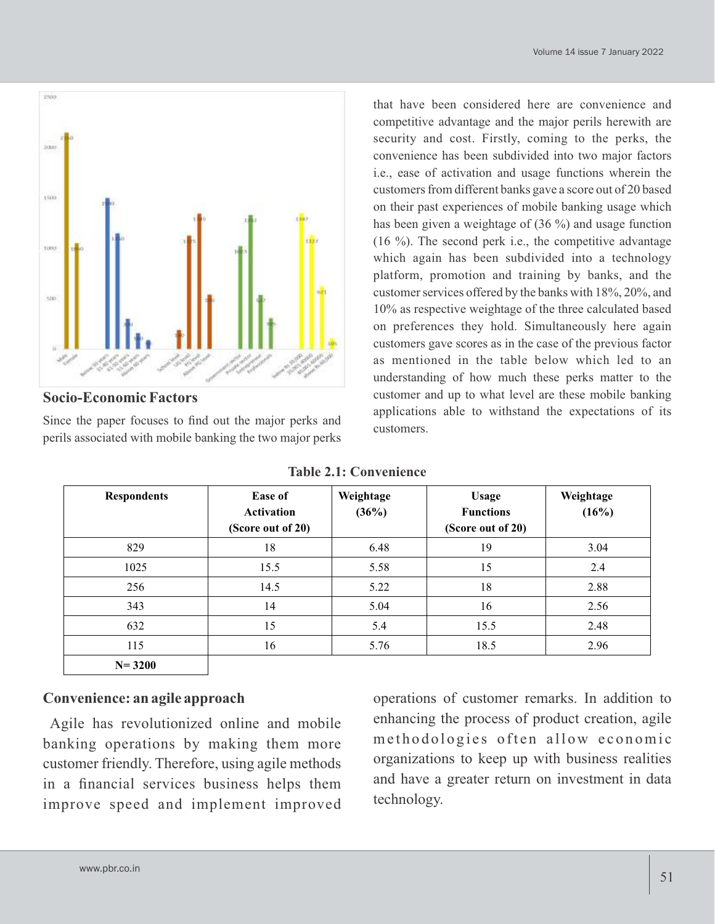

**Socio-Economic Factors**

Since the paper focuses to find out the major perks and perils associated with mobile banking the two major perks

that have been considered here are convenience and competitive advantage and the major perils herewith are security and cost. Firstly, coming to the perks, the convenience has been subdivided into two major factors i.e., ease of activation and usage functions wherein the customers from different banks gave a score out of 20 based on their past experiences of mobile banking usage which has been given a weightage of (36 %) and usage function (16 %). The second perk i.e., the competitive advantage which again has been subdivided into a technology platform, promotion and training by banks, and the customer services offered by the banks with 18%, 20%, and 10% as respective weightage of the three calculated based on preferences they hold. Simultaneously here again customers gave scores as in the case of the previous factor as mentioned in the table below which led to an understanding of how much these perks matter to the customer and up to what level are these mobile banking applications able to withstand the expectations of its customers.

| <b>Table 2.1: Convenience</b> |  |  |  |  |
|-------------------------------|--|--|--|--|
|-------------------------------|--|--|--|--|

| <b>Respondents</b> | <b>Ease of</b><br><b>Activation</b><br>(Score out of 20) | Weightage<br>(36%) | <b>Usage</b><br><b>Functions</b><br>(Score out of 20) | Weightage<br>(16%) |
|--------------------|----------------------------------------------------------|--------------------|-------------------------------------------------------|--------------------|
| 829                | 18                                                       | 6.48               | 19                                                    | 3.04               |
| 1025               | 15.5                                                     | 5.58               | 15                                                    | 2.4                |
| 256                | 14.5                                                     | 5.22               | 18                                                    | 2.88               |
| 343                | 14                                                       | 5.04               | 16                                                    | 2.56               |
| 632                | 15                                                       | 5.4                | 15.5                                                  | 2.48               |
| 115                | 16                                                       | 5.76               | 18.5                                                  | 2.96               |
| $N = 3200$         |                                                          |                    |                                                       |                    |

# **Convenience: an agile approach**

Agile has revolutionized online and mobile banking operations by making them more customer friendly. Therefore, using agile methods in a financial services business helps them improve speed and implement improved

operations of customer remarks. In addition to enhancing the process of product creation, agile methodologies often allow economic organizations to keep up with business realities and have a greater return on investment in data technology.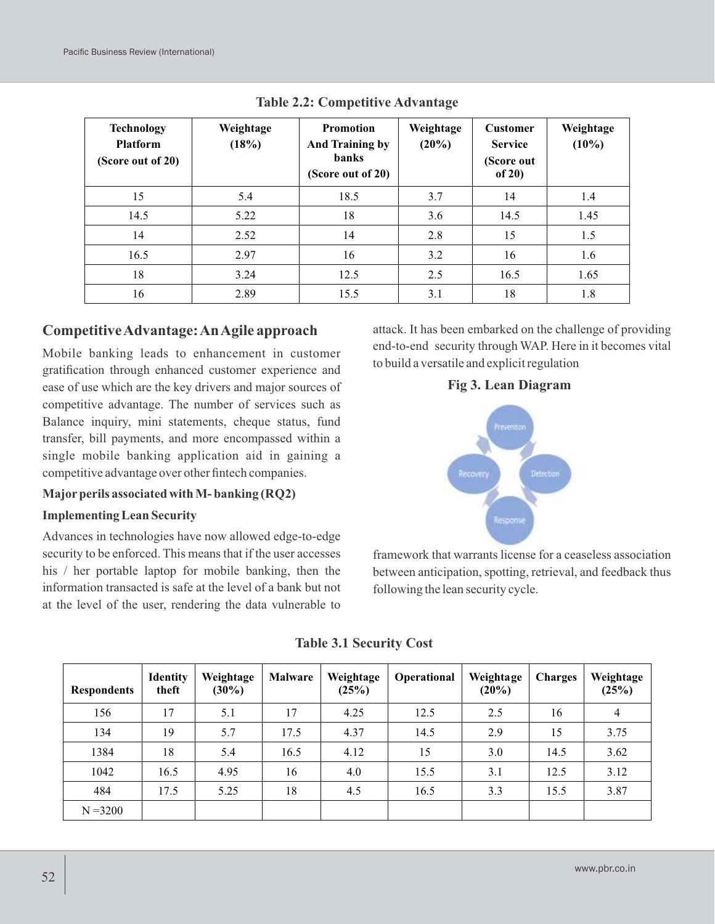| <b>Technology</b><br><b>Platform</b><br>(Score out of 20) | Weightage<br>(18%) | <b>Promotion</b><br><b>And Training by</b><br><b>banks</b><br>(Score out of 20) | Weightage<br>(20%) | <b>Customer</b><br><b>Service</b><br>(Score out<br>of $20)$ | Weightage<br>$(10\%)$ |
|-----------------------------------------------------------|--------------------|---------------------------------------------------------------------------------|--------------------|-------------------------------------------------------------|-----------------------|
| 15                                                        | 5.4                | 18.5                                                                            | 3.7                | 14                                                          | 1.4                   |
| 14.5                                                      | 5.22               | 18                                                                              | 3.6                | 14.5                                                        | 1.45                  |
| 14                                                        | 2.52               | 14                                                                              | 2.8                | 15                                                          | 1.5                   |
| 16.5                                                      | 2.97               | 16                                                                              | 3.2                | 16                                                          | 1.6                   |
| 18                                                        | 3.24               | 12.5                                                                            | 2.5                | 16.5                                                        | 1.65                  |
| 16                                                        | 2.89               | 15.5                                                                            | 3.1                | 18                                                          | 1.8                   |

**Table 2.2: Competitive Advantage**

# **Competitive Advantage: An Agile approach**

Mobile banking leads to enhancement in customer gratification through enhanced customer experience and ease of use which are the key drivers and major sources of competitive advantage. The number of services such as Balance inquiry, mini statements, cheque status, fund transfer, bill payments, and more encompassed within a single mobile banking application aid in gaining a competitive advantage over other fintech companies.

#### **Majorperils associated with M- banking (RQ2)**

#### **Implementing Lean Security**

Advances in technologies have now allowed edge-to-edge security to be enforced. This means that if the user accesses his / her portable laptop for mobile banking, then the information transacted is safe at the level of a bank but not at the level of the user, rendering the data vulnerable to

attack. It has been embarked on the challenge of providing end-to-end security through WAP. Here in it becomes vital to build a versatile and explicit regulation

### **Fig 3. Lean Diagram**



framework that warrants license for a ceaseless association between anticipation, spotting, retrieval, and feedback thus following the lean security cycle.

| <b>Respondents</b> | <b>Identity</b><br>theft | Weightage<br>$(30\%)$ | <b>Malware</b> | Weightage<br>(25%) | Operational | Weightage<br>$(20\%)$ | <b>Charges</b> | Weightage<br>(25%) |
|--------------------|--------------------------|-----------------------|----------------|--------------------|-------------|-----------------------|----------------|--------------------|
| 156                | 17                       | 5.1                   | 17             | 4.25               | 12.5        | 2.5                   | 16             | $\overline{4}$     |
| 134                | 19                       | 5.7                   | 17.5           | 4.37               | 14.5        | 2.9                   | 15             | 3.75               |
| 1384               | 18                       | 5.4                   | 16.5           | 4.12               | 15          | 3.0                   | 14.5           | 3.62               |
| 1042               | 16.5                     | 4.95                  | 16             | 4.0                | 15.5        | 3.1                   | 12.5           | 3.12               |
| 484                | 17.5                     | 5.25                  | 18             | 4.5                | 16.5        | 3.3                   | 15.5           | 3.87               |
| $N = 3200$         |                          |                       |                |                    |             |                       |                |                    |

 **Table 3.1 Security Cost**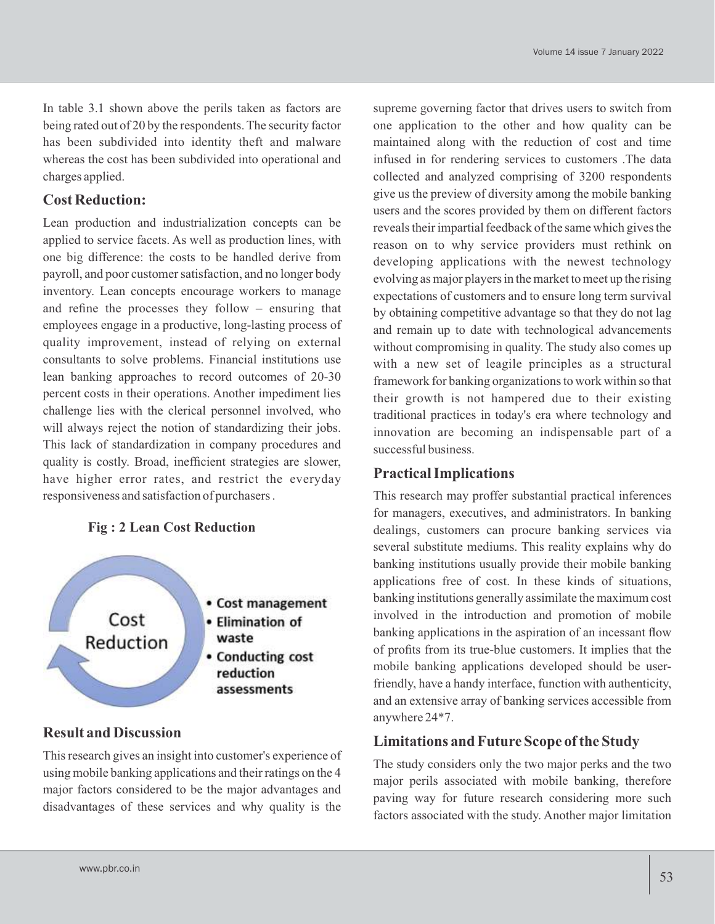In table 3.1 shown above the perils taken as factors are being rated out of 20 by the respondents. The security factor has been subdivided into identity theft and malware whereas the cost has been subdivided into operational and charges applied.

#### **Cost Reduction:**

Lean production and industrialization concepts can be applied to service facets. As well as production lines, with one big difference: the costs to be handled derive from payroll, and poor customer satisfaction, and no longer body inventory. Lean concepts encourage workers to manage and refine the processes they follow – ensuring that employees engage in a productive, long-lasting process of quality improvement, instead of relying on external consultants to solve problems. Financial institutions use lean banking approaches to record outcomes of 20-30 percent costs in their operations. Another impediment lies challenge lies with the clerical personnel involved, who will always reject the notion of standardizing their jobs. This lack of standardization in company procedures and quality is costly. Broad, inefficient strategies are slower, have higher error rates, and restrict the everyday responsiveness and satisfaction of purchasers .

#### **Fig : 2 Lean Cost Reduction**



### **Result and Discussion**

This research gives an insight into customer's experience of using mobile banking applications and their ratings on the 4 major factors considered to be the major advantages and disadvantages of these services and why quality is the supreme governing factor that drives users to switch from one application to the other and how quality can be maintained along with the reduction of cost and time infused in for rendering services to customers .The data collected and analyzed comprising of 3200 respondents give us the preview of diversity among the mobile banking users and the scores provided by them on different factors reveals their impartial feedback of the same which gives the reason on to why service providers must rethink on developing applications with the newest technology evolving as major players in the market to meet up the rising expectations of customers and to ensure long term survival by obtaining competitive advantage so that they do not lag and remain up to date with technological advancements without compromising in quality. The study also comes up with a new set of leagile principles as a structural framework for banking organizations to work within so that their growth is not hampered due to their existing traditional practices in today's era where technology and innovation are becoming an indispensable part of a successful business.

#### **Practical Implications**

This research may proffer substantial practical inferences for managers, executives, and administrators. In banking dealings, customers can procure banking services via several substitute mediums. This reality explains why do banking institutions usually provide their mobile banking applications free of cost. In these kinds of situations, banking institutions generally assimilate the maximum cost involved in the introduction and promotion of mobile banking applications in the aspiration of an incessant flow of profits from its true-blue customers. It implies that the mobile banking applications developed should be userfriendly, have a handy interface, function with authenticity, and an extensive array of banking services accessible from anywhere 24\*7.

#### **Limitations and Future Scope of the Study**

The study considers only the two major perks and the two major perils associated with mobile banking, therefore paving way for future research considering more such factors associated with the study. Another major limitation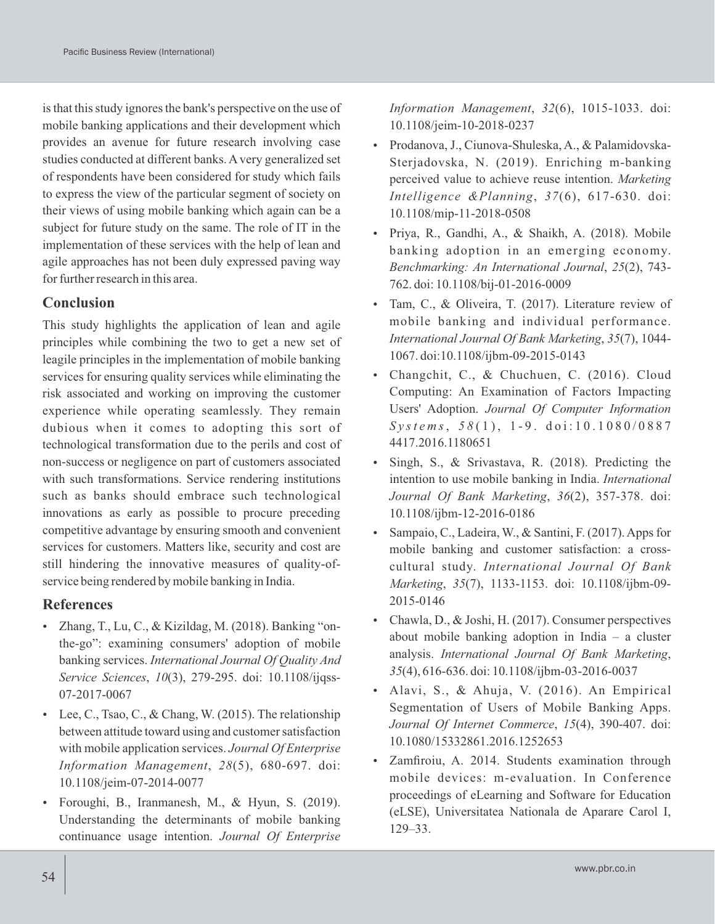is that this study ignores the bank's perspective on the use of mobile banking applications and their development which provides an avenue for future research involving case studies conducted at different banks. Avery generalized set of respondents have been considered for study which fails to express the view of the particular segment of society on their views of using mobile banking which again can be a subject for future study on the same. The role of IT in the implementation of these services with the help of lean and agile approaches has not been duly expressed paving way for further research in this area.

# **Conclusion**

This study highlights the application of lean and agile principles while combining the two to get a new set of leagile principles in the implementation of mobile banking services for ensuring quality services while eliminating the risk associated and working on improving the customer experience while operating seamlessly. They remain dubious when it comes to adopting this sort of technological transformation due to the perils and cost of non-success or negligence on part of customers associated with such transformations. Service rendering institutions such as banks should embrace such technological innovations as early as possible to procure preceding competitive advantage by ensuring smooth and convenient services for customers. Matters like, security and cost are still hindering the innovative measures of quality-ofservice being rendered by mobile banking in India.

# **References**

- Zhang, T., Lu, C., & Kizildag, M. (2018). Banking "onthe-go": examining consumers' adoption of mobile banking services. *International Journal Of Quality And Service Sciences*, *10*(3), 279-295. doi: 10.1108/ijqss-07-2017-0067
- Eee, C., Tsao, C., & Chang, W. (2015). The relationship between attitude toward using and customer satisfaction with mobile application services. *Journal Of Enterprise Information Management*, *28*(5), 680-697. doi: 10.1108/jeim-07-2014-0077
- Foroughi, B., Iranmanesh, M., & Hyun, S. (2019). Understanding the determinants of mobile banking continuance usage intention. *Journal Of Enterprise*

*Information Management*, *32*(6), 1015-1033. doi: 10.1108/jeim-10-2018-0237

- Prodanova, J., Ciunova-Shuleska, A., & Palamidovska-Sterjadovska, N. (2019). Enriching m-banking perceived value to achieve reuse intention. *Marketing Intelligence &Planning*, *37*(6), 617-630. doi: 10.1108/mip-11-2018-0508
- Priya, R., Gandhi, A., & Shaikh, A. (2018). Mobile banking adoption in an emerging economy. *Benchmarking: An International Journal*, *25*(2), 743- 762. doi: 10.1108/bij-01-2016-0009
- Tam, C., & Oliveira, T. (2017). Literature review of mobile banking and individual performance. *International Journal Of Bank Marketing*, *35*(7), 1044- 1067. doi:10.1108/ijbm-09-2015-0143
- Changchit, C., & Chuchuen, C. (2016). Cloud Computing: An Examination of Factors Impacting Users' Adoption. *Journal Of Computer Information S y st e m s*, *5 8* ( 1 ) , 1 - 9 . d o i : 1 0 . 1 0 8 0 / 0 8 8 7 4417.2016.1180651
- Singh, S., & Srivastava, R. (2018). Predicting the intention to use mobile banking in India. *International Journal Of Bank Marketing*, *36*(2), 357-378. doi: 10.1108/ijbm-12-2016-0186
- Sampaio, C., Ladeira, W., & Santini, F. (2017). Apps for mobile banking and customer satisfaction: a crosscultural study. *International Journal Of Bank Marketing*, *35*(7), 1133-1153. doi: 10.1108/ijbm-09- 2015-0146
- Chawla, D., & Joshi, H. (2017). Consumer perspectives about mobile banking adoption in India – a cluster analysis. *International Journal Of Bank Marketing*, *35*(4), 616-636. doi: 10.1108/ijbm-03-2016-0037
- Alavi, S., & Ahuja, V. (2016). An Empirical Segmentation of Users of Mobile Banking Apps. *Journal Of Internet Commerce*, *15*(4), 390-407. doi: 10.1080/15332861.2016.1252653
- Zamfiroiu, A. 2014. Students examination through mobile devices: m-evaluation. In Conference proceedings of eLearning and Software for Education (eLSE), Universitatea Nationala de Aparare Carol I, 129–33.